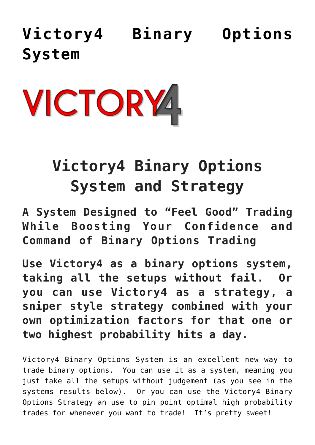**[Victory4 Binary Options](https://binaryoptionsauthority.com/binary-options-authority/binary-options-systems/victory4-binary-options-system/) [System](https://binaryoptionsauthority.com/binary-options-authority/binary-options-systems/victory4-binary-options-system/)**



## **Victory4 Binary Options System and Strategy**

**A System Designed to "Feel Good" Trading While Boosting Your Confidence and Command of Binary Options Trading**

**Use Victory4 as a binary options system, taking all the setups without fail. Or you can use Victory4 as a strategy, a sniper style strategy combined with your own optimization factors for that one or two highest probability hits a day.**

Victory4 Binary Options System is an excellent new way to trade binary options. You can use it as a system, meaning you just take all the setups without judgement (as you see in the systems results below). Or you can use the Victory4 Binary Options Strategy an use to pin point optimal high probability trades for whenever you want to trade! It's pretty sweet!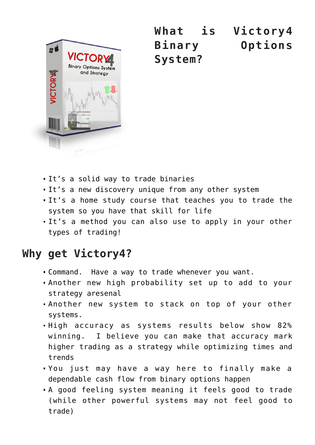

**What is Victory4 Binary Options System?**

- It's a solid way to trade binaries
- It's a new discovery unique from any other system
- It's a home study course that teaches you to trade the system so you have that skill for life
- It's a method you can also use to apply in your other types of trading!

## **Why get Victory4?**

- Command. Have a way to trade whenever you want.
- Another new high probability set up to add to your strategy aresenal
- Another new system to stack on top of your other systems.
- High accuracy as systems results below show 82% winning. I believe you can make that accuracy mark higher trading as a strategy while optimizing times and trends
- You just may have a way here to finally make a dependable cash flow from binary options happen
- A good feeling system meaning it feels good to trade (while other powerful systems may not feel good to trade)